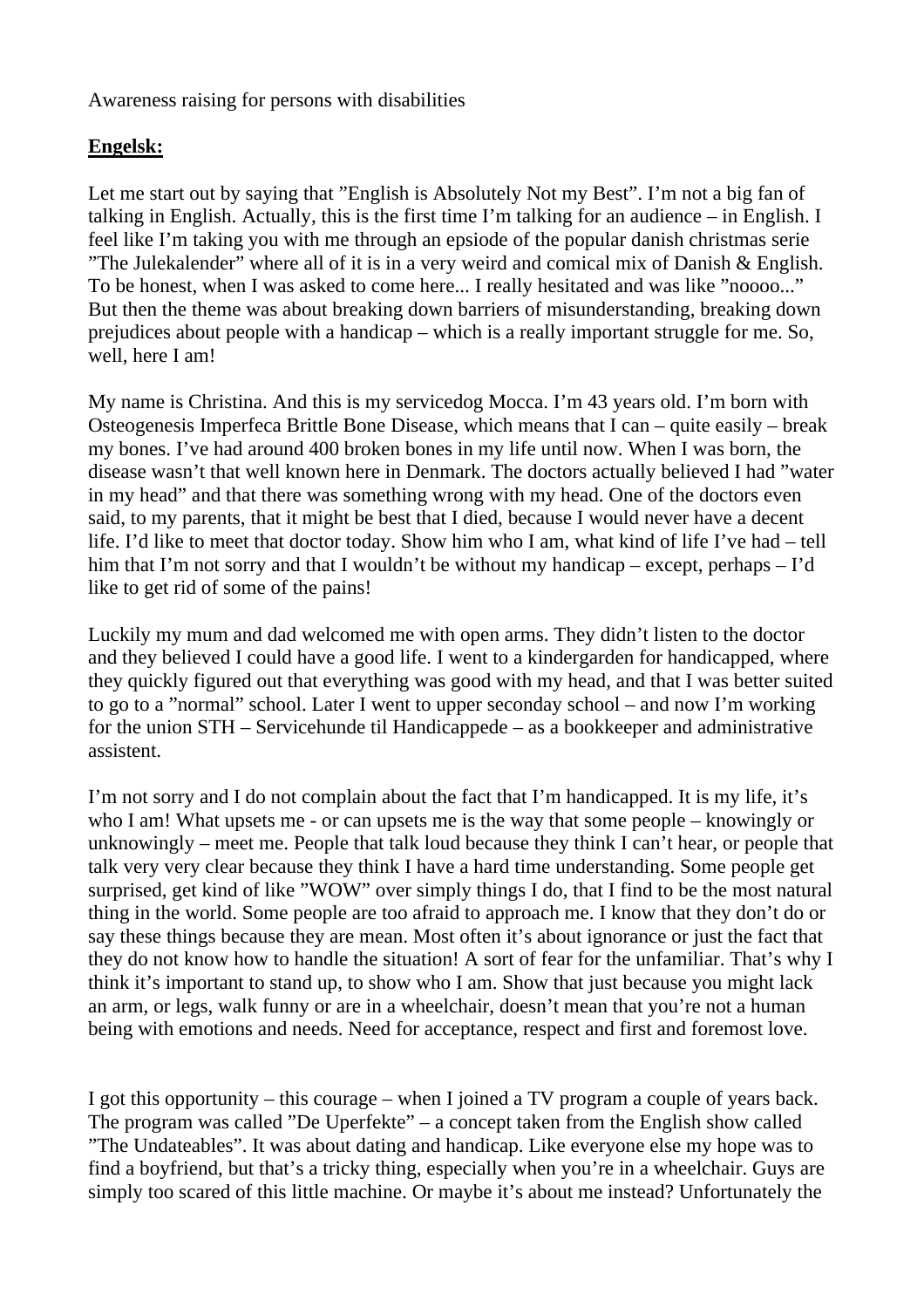Awareness raising for persons with disabilities

## **Engelsk:**

Let me start out by saying that "English is Absolutely Not my Best". I'm not a big fan of talking in English. Actually, this is the first time I'm talking for an audience – in English. I feel like I'm taking you with me through an epsiode of the popular danish christmas serie "The Julekalender" where all of it is in a very weird and comical mix of Danish & English. To be honest, when I was asked to come here... I really hesitated and was like "noooo..." But then the theme was about breaking down barriers of misunderstanding, breaking down prejudices about people with a handicap – which is a really important struggle for me. So, well, here I am!

My name is Christina. And this is my servicedog Mocca. I'm 43 years old. I'm born with Osteogenesis Imperfeca Brittle Bone Disease, which means that I can – quite easily – break my bones. I've had around 400 broken bones in my life until now. When I was born, the disease wasn't that well known here in Denmark. The doctors actually believed I had "water in my head" and that there was something wrong with my head. One of the doctors even said, to my parents, that it might be best that I died, because I would never have a decent life. I'd like to meet that doctor today. Show him who I am, what kind of life I've had – tell him that I'm not sorry and that I wouldn't be without my handicap – except, perhaps – I'd like to get rid of some of the pains!

Luckily my mum and dad welcomed me with open arms. They didn't listen to the doctor and they believed I could have a good life. I went to a kindergarden for handicapped, where they quickly figured out that everything was good with my head, and that I was better suited to go to a "normal" school. Later I went to upper seconday school – and now I'm working for the union STH – Servicehunde til Handicappede – as a bookkeeper and administrative assistent.

I'm not sorry and I do not complain about the fact that I'm handicapped. It is my life, it's who I am! What upsets me - or can upsets me is the way that some people – knowingly or unknowingly – meet me. People that talk loud because they think I can't hear, or people that talk very very clear because they think I have a hard time understanding. Some people get surprised, get kind of like "WOW" over simply things I do, that I find to be the most natural thing in the world. Some people are too afraid to approach me. I know that they don't do or say these things because they are mean. Most often it's about ignorance or just the fact that they do not know how to handle the situation! A sort of fear for the unfamiliar. That's why I think it's important to stand up, to show who I am. Show that just because you might lack an arm, or legs, walk funny or are in a wheelchair, doesn't mean that you're not a human being with emotions and needs. Need for acceptance, respect and first and foremost love.

I got this opportunity – this courage – when I joined a TV program a couple of years back. The program was called "De Uperfekte" – a concept taken from the English show called "The Undateables". It was about dating and handicap. Like everyone else my hope was to find a boyfriend, but that's a tricky thing, especially when you're in a wheelchair. Guys are simply too scared of this little machine. Or maybe it's about me instead? Unfortunately the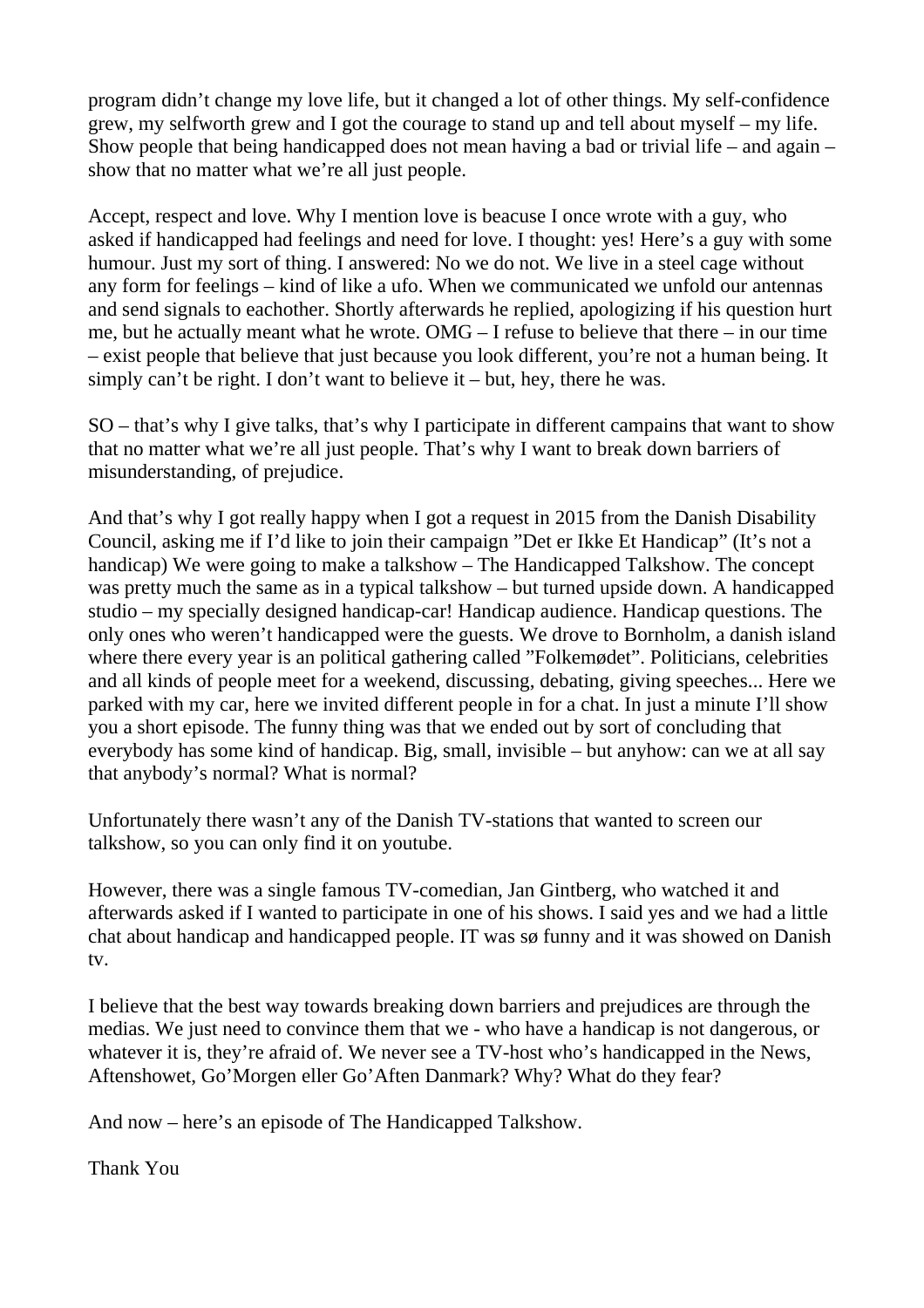program didn't change my love life, but it changed a lot of other things. My self-confidence grew, my selfworth grew and I got the courage to stand up and tell about myself – my life. Show people that being handicapped does not mean having a bad or trivial life – and again – show that no matter what we're all just people.

Accept, respect and love. Why I mention love is beacuse I once wrote with a guy, who asked if handicapped had feelings and need for love. I thought: yes! Here's a guy with some humour. Just my sort of thing. I answered: No we do not. We live in a steel cage without any form for feelings – kind of like a ufo. When we communicated we unfold our antennas and send signals to eachother. Shortly afterwards he replied, apologizing if his question hurt me, but he actually meant what he wrote. OMG – I refuse to believe that there – in our time – exist people that believe that just because you look different, you're not a human being. It simply can't be right. I don't want to believe it – but, hey, there he was.

SO – that's why I give talks, that's why I participate in different campains that want to show that no matter what we're all just people. That's why I want to break down barriers of misunderstanding, of prejudice.

And that's why I got really happy when I got a request in 2015 from the Danish Disability Council, asking me if I'd like to join their campaign "Det er Ikke Et Handicap" (It's not a handicap) We were going to make a talkshow – The Handicapped Talkshow. The concept was pretty much the same as in a typical talkshow – but turned upside down. A handicapped studio – my specially designed handicap-car! Handicap audience. Handicap questions. The only ones who weren't handicapped were the guests. We drove to Bornholm, a danish island where there every year is an political gathering called "Folkemødet". Politicians, celebrities and all kinds of people meet for a weekend, discussing, debating, giving speeches... Here we parked with my car, here we invited different people in for a chat. In just a minute I'll show you a short episode. The funny thing was that we ended out by sort of concluding that everybody has some kind of handicap. Big, small, invisible – but anyhow: can we at all say that anybody's normal? What is normal?

Unfortunately there wasn't any of the Danish TV-stations that wanted to screen our talkshow, so you can only find it on youtube.

However, there was a single famous TV-comedian, Jan Gintberg, who watched it and afterwards asked if I wanted to participate in one of his shows. I said yes and we had a little chat about handicap and handicapped people. IT was sø funny and it was showed on Danish tv.

I believe that the best way towards breaking down barriers and prejudices are through the medias. We just need to convince them that we - who have a handicap is not dangerous, or whatever it is, they're afraid of. We never see a TV-host who's handicapped in the News. Aftenshowet, Go'Morgen eller Go'Aften Danmark? Why? What do they fear?

And now – here's an episode of The Handicapped Talkshow.

Thank You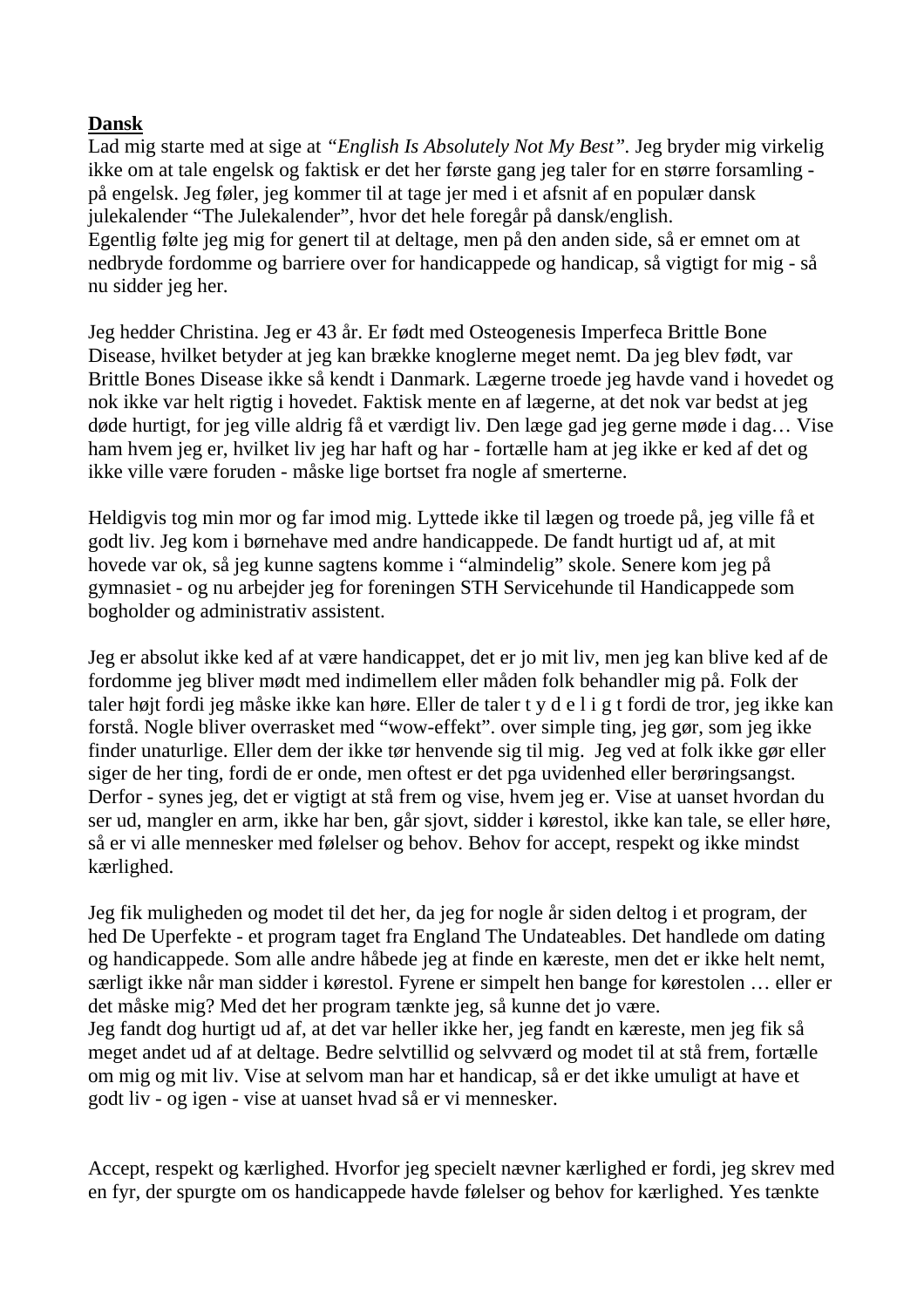## **Dansk**

Lad mig starte med at sige at *"English Is Absolutely Not My Best".* Jeg bryder mig virkelig ikke om at tale engelsk og faktisk er det her første gang jeg taler for en større forsamling på engelsk. Jeg føler, jeg kommer til at tage jer med i et afsnit af en populær dansk julekalender "The Julekalender", hvor det hele foregår på dansk/english. Egentlig følte jeg mig for genert til at deltage, men på den anden side, så er emnet om at nedbryde fordomme og barriere over for handicappede og handicap, så vigtigt for mig - så nu sidder jeg her.

Jeg hedder Christina. Jeg er 43 år. Er født med Osteogenesis Imperfeca Brittle Bone Disease, hvilket betyder at jeg kan brække knoglerne meget nemt. Da jeg blev født, var Brittle Bones Disease ikke så kendt i Danmark. Lægerne troede jeg havde vand i hovedet og nok ikke var helt rigtig i hovedet. Faktisk mente en af lægerne, at det nok var bedst at jeg døde hurtigt, for jeg ville aldrig få et værdigt liv. Den læge gad jeg gerne møde i dag… Vise ham hvem jeg er, hvilket liv jeg har haft og har - fortælle ham at jeg ikke er ked af det og ikke ville være foruden - måske lige bortset fra nogle af smerterne.

Heldigvis tog min mor og far imod mig. Lyttede ikke til lægen og troede på, jeg ville få et godt liv. Jeg kom i børnehave med andre handicappede. De fandt hurtigt ud af, at mit hovede var ok, så jeg kunne sagtens komme i "almindelig" skole. Senere kom jeg på gymnasiet - og nu arbejder jeg for foreningen STH Servicehunde til Handicappede som bogholder og administrativ assistent.

Jeg er absolut ikke ked af at være handicappet, det er jo mit liv, men jeg kan blive ked af de fordomme jeg bliver mødt med indimellem eller måden folk behandler mig på. Folk der taler højt fordi jeg måske ikke kan høre. Eller de taler t y d e l i g t fordi de tror, jeg ikke kan forstå. Nogle bliver overrasket med "wow-effekt". over simple ting, jeg gør, som jeg ikke finder unaturlige. Eller dem der ikke tør henvende sig til mig. Jeg ved at folk ikke gør eller siger de her ting, fordi de er onde, men oftest er det pga uvidenhed eller berøringsangst. Derfor - synes jeg, det er vigtigt at stå frem og vise, hvem jeg er. Vise at uanset hvordan du ser ud, mangler en arm, ikke har ben, går sjovt, sidder i kørestol, ikke kan tale, se eller høre, så er vi alle mennesker med følelser og behov. Behov for accept, respekt og ikke mindst kærlighed.

Jeg fik muligheden og modet til det her, da jeg for nogle år siden deltog i et program, der hed De Uperfekte - et program taget fra England The Undateables. Det handlede om dating og handicappede. Som alle andre håbede jeg at finde en kæreste, men det er ikke helt nemt, særligt ikke når man sidder i kørestol. Fyrene er simpelt hen bange for kørestolen … eller er det måske mig? Med det her program tænkte jeg, så kunne det jo være. Jeg fandt dog hurtigt ud af, at det var heller ikke her, jeg fandt en kæreste, men jeg fik så meget andet ud af at deltage. Bedre selvtillid og selvværd og modet til at stå frem, fortælle om mig og mit liv. Vise at selvom man har et handicap, så er det ikke umuligt at have et godt liv - og igen - vise at uanset hvad så er vi mennesker.

Accept, respekt og kærlighed. Hvorfor jeg specielt nævner kærlighed er fordi, jeg skrev med en fyr, der spurgte om os handicappede havde følelser og behov for kærlighed. Yes tænkte